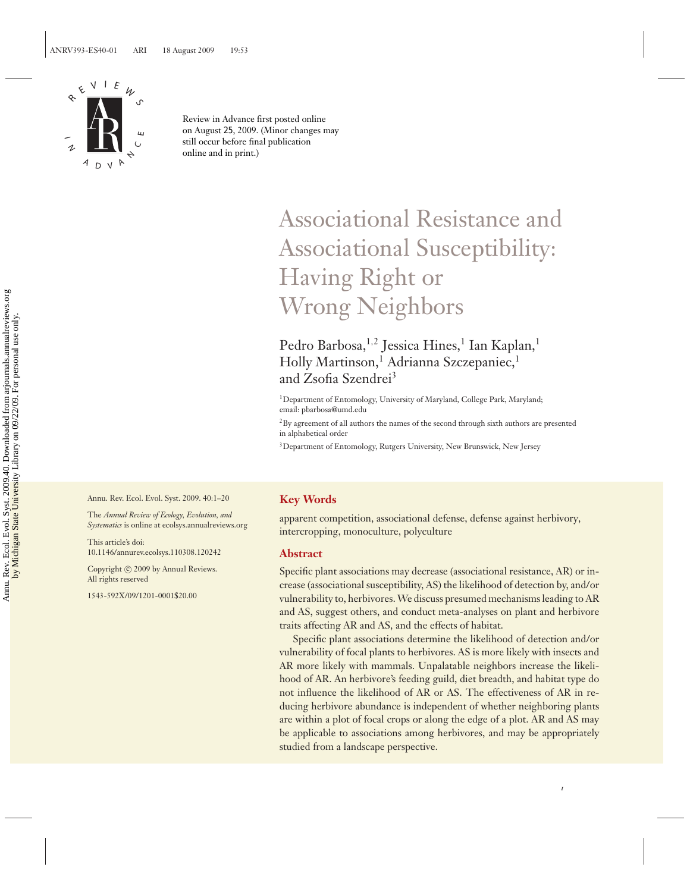

Review in Advance first posted online on August 25, 2009. (Minor changes may still occur before final publication online and in print.)

# Associational Resistance and Associational Susceptibility: Having Right or Wrong Neighbors

Pedro Barbosa,<sup>1,2</sup> Jessica Hines,<sup>1</sup> Ian Kaplan,<sup>1</sup> Holly Martinson,<sup>1</sup> Adrianna Szczepaniec,<sup>1</sup> and Zsofia Szendrei<sup>3</sup>

<sup>1</sup>Department of Entomology, University of Maryland, College Park, Maryland; email: pbarbosa@umd.edu

2By agreement of all authors the names of the second through sixth authors are presented in alphabetical order

3Department of Entomology, Rutgers University, New Brunswick, New Jersey

Annu. Rev. Ecol. Evol. Syst. 2009. 40:1–20

The *Annual Review of Ecology, Evolution, and Systematics* is online at ecolsys.annualreviews.org

This article's doi: 10.1146/annurev.ecolsys.110308.120242

Copyright  $\odot$  2009 by Annual Reviews. All rights reserved

1543-592X/09/1201-0001\$20.00

## **Key Words**

apparent competition, associational defense, defense against herbivory, intercropping, monoculture, polyculture

## **Abstract**

Specific plant associations may decrease (associational resistance, AR) or increase (associational susceptibility, AS) the likelihood of detection by, and/or vulnerability to, herbivores. We discuss presumed mechanisms leading to AR and AS, suggest others, and conduct meta-analyses on plant and herbivore traits affecting AR and AS, and the effects of habitat.

Specific plant associations determine the likelihood of detection and/or vulnerability of focal plants to herbivores. AS is more likely with insects and AR more likely with mammals. Unpalatable neighbors increase the likelihood of AR. An herbivore's feeding guild, diet breadth, and habitat type do not influence the likelihood of AR or AS. The effectiveness of AR in reducing herbivore abundance is independent of whether neighboring plants are within a plot of focal crops or along the edge of a plot. AR and AS may be applicable to associations among herbivores, and may be appropriately studied from a landscape perspective.

*1*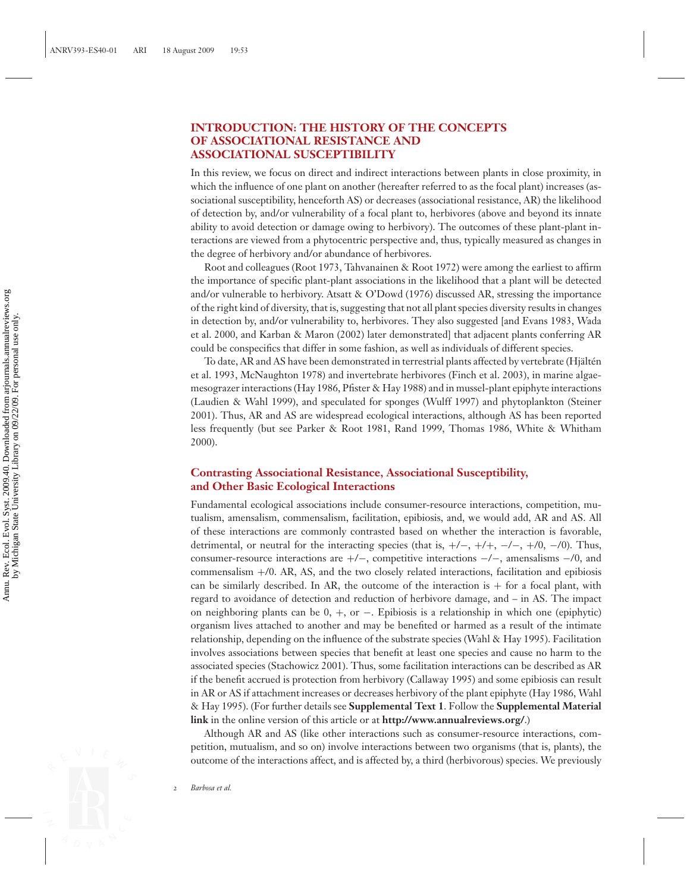# **INTRODUCTION: THE HISTORY OF THE CONCEPTS OF ASSOCIATIONAL RESISTANCE AND ASSOCIATIONAL SUSCEPTIBILITY**

In this review, we focus on direct and indirect interactions between plants in close proximity, in which the influence of one plant on another (hereafter referred to as the focal plant) increases (associational susceptibility, henceforth AS) or decreases (associational resistance, AR) the likelihood of detection by, and/or vulnerability of a focal plant to, herbivores (above and beyond its innate ability to avoid detection or damage owing to herbivory). The outcomes of these plant-plant interactions are viewed from a phytocentric perspective and, thus, typically measured as changes in the degree of herbivory and/or abundance of herbivores.

Root and colleagues (Root 1973, Tahvanainen & Root 1972) were among the earliest to affirm the importance of specific plant-plant associations in the likelihood that a plant will be detected and/or vulnerable to herbivory. Atsatt & O'Dowd (1976) discussed AR, stressing the importance of the right kind of diversity, that is, suggesting that not all plant species diversity results in changes in detection by, and/or vulnerability to, herbivores. They also suggested [and Evans 1983, Wada et al. 2000, and Karban & Maron (2002) later demonstrated] that adjacent plants conferring AR could be conspecifics that differ in some fashion, as well as individuals of different species.

To date, AR and AS have been demonstrated in terrestrial plants affected by vertebrate (Hjältén) et al. 1993, McNaughton 1978) and invertebrate herbivores (Finch et al. 2003), in marine algaemesograzer interactions (Hay 1986, Pfister & Hay 1988) and in mussel-plant epiphyte interactions (Laudien & Wahl 1999), and speculated for sponges (Wulff 1997) and phytoplankton (Steiner 2001). Thus, AR and AS are widespread ecological interactions, although AS has been reported less frequently (but see Parker & Root 1981, Rand 1999, Thomas 1986, White & Whitham 2000).

## **Contrasting Associational Resistance, Associational Susceptibility, and Other Basic Ecological Interactions**

Fundamental ecological associations include consumer-resource interactions, competition, mutualism, amensalism, commensalism, facilitation, epibiosis, and, we would add, AR and AS. All of these interactions are commonly contrasted based on whether the interaction is favorable, detrimental, or neutral for the interacting species (that is,  $+/-$ ,  $+/+$ ,  $-/-$ ,  $+/0$ ,  $-/0$ ). Thus, consumer-resource interactions are +/−, competitive interactions −/−, amensalisms −/0, and commensalism +/0. AR, AS, and the two closely related interactions, facilitation and epibiosis can be similarly described. In AR, the outcome of the interaction is  $+$  for a focal plant, with regard to avoidance of detection and reduction of herbivore damage, and – in AS. The impact on neighboring plants can be  $0, +$ , or  $-$ . Epibiosis is a relationship in which one (epiphytic) organism lives attached to another and may be benefited or harmed as a result of the intimate relationship, depending on the influence of the substrate species (Wahl & Hay 1995). Facilitation involves associations between species that benefit at least one species and cause no harm to the associated species (Stachowicz 2001). Thus, some facilitation interactions can be described as AR if the benefit accrued is protection from herbivory (Callaway 1995) and some epibiosis can result in AR or AS if attachment increases or decreases herbivory of the plant epiphyte (Hay 1986, Wahl & Hay 1995). (For further details see **Supplemental Text 1**. Follow the **Supplemental Material link** in the online version of this article or at **http://www.annualreviews.org/**.)

Although AR and AS (like other interactions such as consumer-resource interactions, competition, mutualism, and so on) involve interactions between two organisms (that is, plants), the outcome of the interactions affect, and is affected by, a third (herbivorous) species. We previously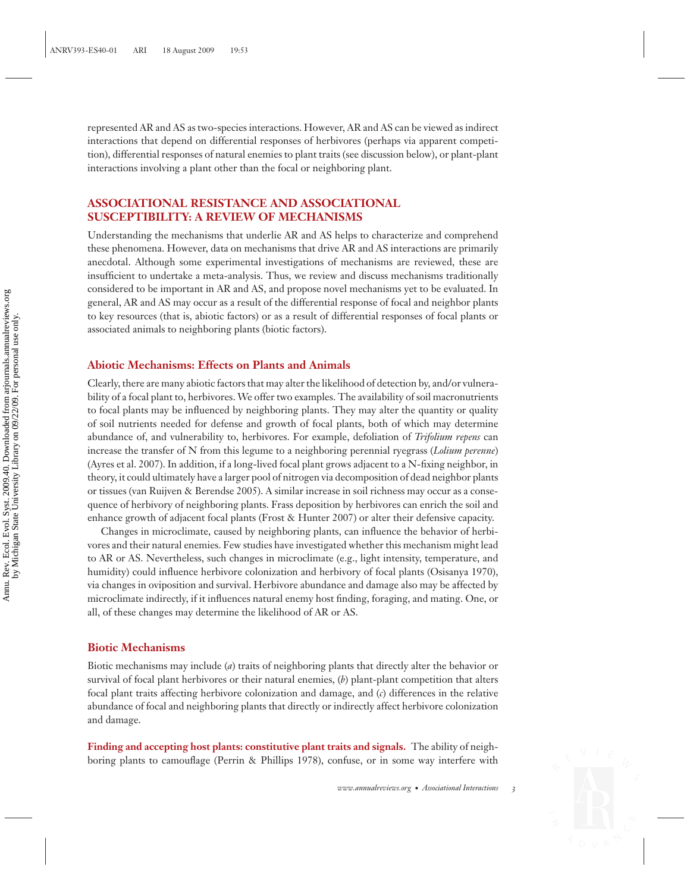represented AR and AS as two-species interactions. However, AR and AS can be viewed as indirect interactions that depend on differential responses of herbivores (perhaps via apparent competition), differential responses of natural enemies to plant traits (see discussion below), or plant-plant interactions involving a plant other than the focal or neighboring plant.

# **ASSOCIATIONAL RESISTANCE AND ASSOCIATIONAL SUSCEPTIBILITY: A REVIEW OF MECHANISMS**

Understanding the mechanisms that underlie AR and AS helps to characterize and comprehend these phenomena. However, data on mechanisms that drive AR and AS interactions are primarily anecdotal. Although some experimental investigations of mechanisms are reviewed, these are insufficient to undertake a meta-analysis. Thus, we review and discuss mechanisms traditionally considered to be important in AR and AS, and propose novel mechanisms yet to be evaluated. In general, AR and AS may occur as a result of the differential response of focal and neighbor plants to key resources (that is, abiotic factors) or as a result of differential responses of focal plants or associated animals to neighboring plants (biotic factors).

## **Abiotic Mechanisms: Effects on Plants and Animals**

Clearly, there are many abiotic factors that may alter the likelihood of detection by, and/or vulnerability of a focal plant to, herbivores. We offer two examples. The availability of soil macronutrients to focal plants may be influenced by neighboring plants. They may alter the quantity or quality of soil nutrients needed for defense and growth of focal plants, both of which may determine abundance of, and vulnerability to, herbivores. For example, defoliation of *Trifolium repens* can increase the transfer of N from this legume to a neighboring perennial ryegrass (*Lolium perenne*) (Ayres et al. 2007). In addition, if a long-lived focal plant grows adjacent to a N-fixing neighbor, in theory, it could ultimately have a larger pool of nitrogen via decomposition of dead neighbor plants or tissues (van Ruijven & Berendse 2005). A similar increase in soil richness may occur as a consequence of herbivory of neighboring plants. Frass deposition by herbivores can enrich the soil and enhance growth of adjacent focal plants (Frost & Hunter 2007) or alter their defensive capacity.

Changes in microclimate, caused by neighboring plants, can influence the behavior of herbivores and their natural enemies. Few studies have investigated whether this mechanism might lead to AR or AS. Nevertheless, such changes in microclimate (e.g., light intensity, temperature, and humidity) could influence herbivore colonization and herbivory of focal plants (Osisanya 1970), via changes in oviposition and survival. Herbivore abundance and damage also may be affected by microclimate indirectly, if it influences natural enemy host finding, foraging, and mating. One, or all, of these changes may determine the likelihood of AR or AS.

#### **Biotic Mechanisms**

Biotic mechanisms may include (*a*) traits of neighboring plants that directly alter the behavior or survival of focal plant herbivores or their natural enemies, (*b*) plant-plant competition that alters focal plant traits affecting herbivore colonization and damage, and (*c*) differences in the relative abundance of focal and neighboring plants that directly or indirectly affect herbivore colonization and damage.

**Finding and accepting host plants: constitutive plant traits and signals.** The ability of neighboring plants to camouflage (Perrin & Phillips 1978), confuse, or in some way interfere with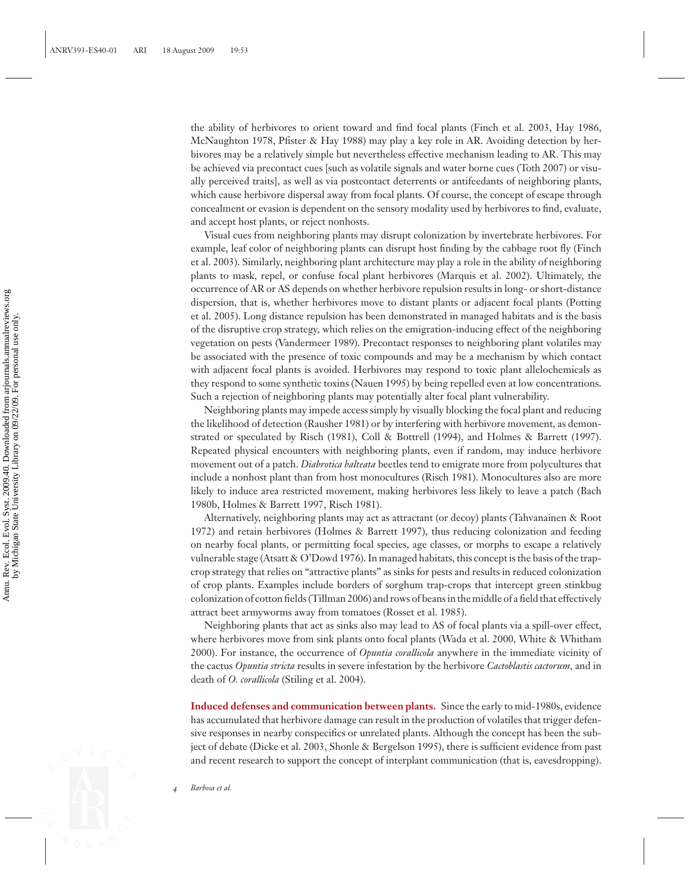the ability of herbivores to orient toward and find focal plants (Finch et al. 2003, Hay 1986, McNaughton 1978, Pfister & Hay 1988) may play a key role in AR. Avoiding detection by herbivores may be a relatively simple but nevertheless effective mechanism leading to AR. This may be achieved via precontact cues [such as volatile signals and water borne cues (Toth 2007) or visually perceived traits], as well as via postcontact deterrents or antifeedants of neighboring plants, which cause herbivore dispersal away from focal plants. Of course, the concept of escape through concealment or evasion is dependent on the sensory modality used by herbivores to find, evaluate, and accept host plants, or reject nonhosts.

Visual cues from neighboring plants may disrupt colonization by invertebrate herbivores. For example, leaf color of neighboring plants can disrupt host finding by the cabbage root fly (Finch et al. 2003). Similarly, neighboring plant architecture may play a role in the ability of neighboring plants to mask, repel, or confuse focal plant herbivores (Marquis et al. 2002). Ultimately, the occurrence of AR or AS depends on whether herbivore repulsion results in long- or short-distance dispersion, that is, whether herbivores move to distant plants or adjacent focal plants (Potting et al. 2005). Long distance repulsion has been demonstrated in managed habitats and is the basis of the disruptive crop strategy, which relies on the emigration-inducing effect of the neighboring vegetation on pests (Vandermeer 1989). Precontact responses to neighboring plant volatiles may be associated with the presence of toxic compounds and may be a mechanism by which contact with adjacent focal plants is avoided. Herbivores may respond to toxic plant allelochemicals as they respond to some synthetic toxins (Nauen 1995) by being repelled even at low concentrations. Such a rejection of neighboring plants may potentially alter focal plant vulnerability.

Neighboring plants may impede access simply by visually blocking the focal plant and reducing the likelihood of detection (Rausher 1981) or by interfering with herbivore movement, as demonstrated or speculated by Risch (1981), Coll & Bottrell (1994), and Holmes & Barrett (1997). Repeated physical encounters with neighboring plants, even if random, may induce herbivore movement out of a patch. *Diabrotica balteata* beetles tend to emigrate more from polycultures that include a nonhost plant than from host monocultures (Risch 1981). Monocultures also are more likely to induce area restricted movement, making herbivores less likely to leave a patch (Bach 1980b, Holmes & Barrett 1997, Risch 1981).

Alternatively, neighboring plants may act as attractant (or decoy) plants (Tahvanainen & Root 1972) and retain herbivores (Holmes & Barrett 1997), thus reducing colonization and feeding on nearby focal plants, or permitting focal species, age classes, or morphs to escape a relatively vulnerable stage (Atsatt & O'Dowd 1976). In managed habitats, this concept is the basis of the trapcrop strategy that relies on "attractive plants" as sinks for pests and results in reduced colonization of crop plants. Examples include borders of sorghum trap-crops that intercept green stinkbug colonization of cotton fields (Tillman 2006) and rows of beans in the middle of a field that effectively attract beet armyworms away from tomatoes (Rosset et al. 1985).

Neighboring plants that act as sinks also may lead to AS of focal plants via a spill-over effect, where herbivores move from sink plants onto focal plants (Wada et al. 2000, White & Whitham 2000). For instance, the occurrence of *Opuntia corallicola* anywhere in the immediate vicinity of the cactus *Opuntia stricta* results in severe infestation by the herbivore *Cactoblastis cactorum*, and in death of *O. corallicola* (Stiling et al. 2004).

**Induced defenses and communication between plants.** Since the early to mid-1980s, evidence has accumulated that herbivore damage can result in the production of volatiles that trigger defensive responses in nearby conspecifics or unrelated plants. Although the concept has been the subject of debate (Dicke et al. 2003, Shonle & Bergelson 1995), there is sufficient evidence from past and recent research to support the concept of interplant communication (that is, eavesdropping).

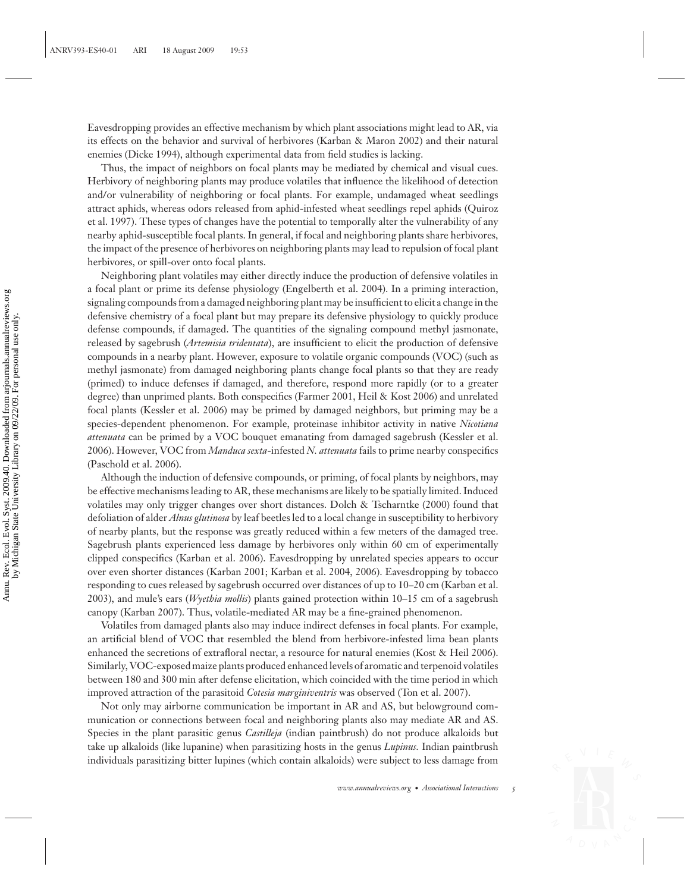Annu. Rev. Ecol. Evol. Syst. 2009.40. Downloaded from arjournals.annualreviews.org<br>by Michigan State University Library on 09/22/09. For personal use only. Annu. Rev. Ecol. Evol. Syst. 2009.40. Downloaded from arjournals.annualreviews.org by Michigan State University Library on 09/22/09. For personal use only.

Eavesdropping provides an effective mechanism by which plant associations might lead to AR, via its effects on the behavior and survival of herbivores (Karban & Maron 2002) and their natural enemies (Dicke 1994), although experimental data from field studies is lacking.

Thus, the impact of neighbors on focal plants may be mediated by chemical and visual cues. Herbivory of neighboring plants may produce volatiles that influence the likelihood of detection and/or vulnerability of neighboring or focal plants. For example, undamaged wheat seedlings attract aphids, whereas odors released from aphid-infested wheat seedlings repel aphids (Quiroz et al. 1997). These types of changes have the potential to temporally alter the vulnerability of any nearby aphid-susceptible focal plants. In general, if focal and neighboring plants share herbivores, the impact of the presence of herbivores on neighboring plants may lead to repulsion of focal plant herbivores, or spill-over onto focal plants.

Neighboring plant volatiles may either directly induce the production of defensive volatiles in a focal plant or prime its defense physiology (Engelberth et al. 2004). In a priming interaction, signaling compounds from a damaged neighboring plant may be insufficient to elicit a change in the defensive chemistry of a focal plant but may prepare its defensive physiology to quickly produce defense compounds, if damaged. The quantities of the signaling compound methyl jasmonate, released by sagebrush (*Artemisia tridentata*), are insufficient to elicit the production of defensive compounds in a nearby plant. However, exposure to volatile organic compounds (VOC) (such as methyl jasmonate) from damaged neighboring plants change focal plants so that they are ready (primed) to induce defenses if damaged, and therefore, respond more rapidly (or to a greater degree) than unprimed plants. Both conspecifics (Farmer 2001, Heil & Kost 2006) and unrelated focal plants (Kessler et al. 2006) may be primed by damaged neighbors, but priming may be a species-dependent phenomenon. For example, proteinase inhibitor activity in native *Nicotiana attenuata* can be primed by a VOC bouquet emanating from damaged sagebrush (Kessler et al. 2006). However, VOC from *Manduca sexta*-infested *N. attenuata* fails to prime nearby conspecifics (Paschold et al. 2006).

Although the induction of defensive compounds, or priming, of focal plants by neighbors, may be effective mechanisms leading to AR, these mechanisms are likely to be spatially limited. Induced volatiles may only trigger changes over short distances. Dolch & Tscharntke (2000) found that defoliation of alder *Alnus glutinosa* by leaf beetles led to a local change in susceptibility to herbivory of nearby plants, but the response was greatly reduced within a few meters of the damaged tree. Sagebrush plants experienced less damage by herbivores only within 60 cm of experimentally clipped conspecifics (Karban et al. 2006). Eavesdropping by unrelated species appears to occur over even shorter distances (Karban 2001; Karban et al. 2004, 2006). Eavesdropping by tobacco responding to cues released by sagebrush occurred over distances of up to 10–20 cm (Karban et al. 2003), and mule's ears (*Wyethia mollis*) plants gained protection within 10–15 cm of a sagebrush canopy (Karban 2007). Thus, volatile-mediated AR may be a fine-grained phenomenon.

Volatiles from damaged plants also may induce indirect defenses in focal plants. For example, an artificial blend of VOC that resembled the blend from herbivore-infested lima bean plants enhanced the secretions of extrafloral nectar, a resource for natural enemies (Kost & Heil 2006). Similarly, VOC-exposed maize plants produced enhanced levels of aromatic and terpenoid volatiles between 180 and 300 min after defense elicitation, which coincided with the time period in which improved attraction of the parasitoid *Cotesia marginiventris* was observed (Ton et al. 2007).

Not only may airborne communication be important in AR and AS, but belowground communication or connections between focal and neighboring plants also may mediate AR and AS. Species in the plant parasitic genus *Castilleja* (indian paintbrush) do not produce alkaloids but take up alkaloids (like lupanine) when parasitizing hosts in the genus *Lupinus.* Indian paintbrush individuals parasitizing bitter lupines (which contain alkaloids) were subject to less damage from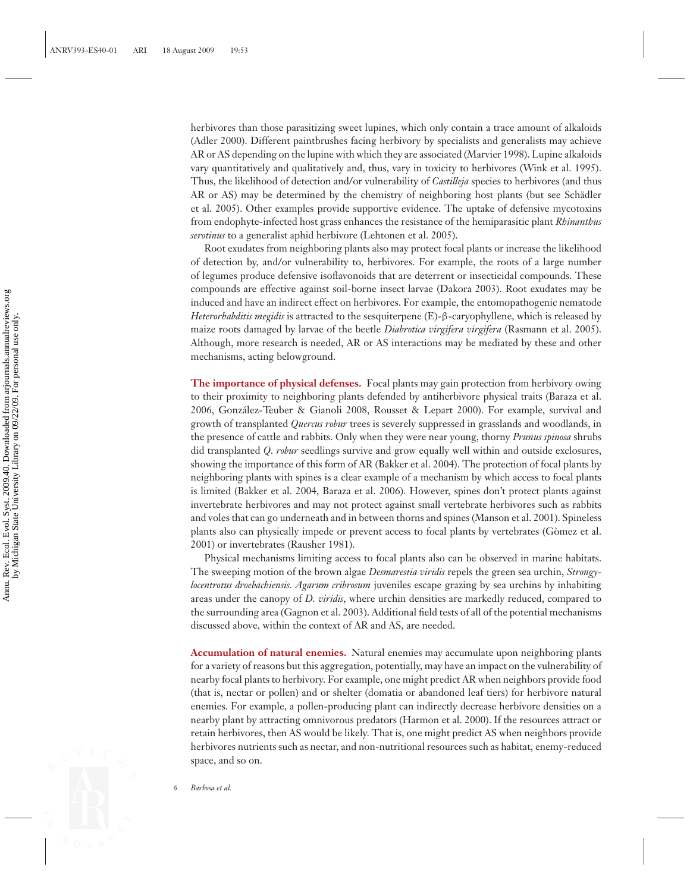herbivores than those parasitizing sweet lupines, which only contain a trace amount of alkaloids (Adler 2000). Different paintbrushes facing herbivory by specialists and generalists may achieve AR or AS depending on the lupine with which they are associated (Marvier 1998). Lupine alkaloids vary quantitatively and qualitatively and, thus, vary in toxicity to herbivores (Wink et al. 1995). Thus, the likelihood of detection and/or vulnerability of *Castilleja* species to herbivores (and thus AR or AS) may be determined by the chemistry of neighboring host plants (but see Schädler et al. 2005). Other examples provide supportive evidence. The uptake of defensive mycotoxins from endophyte-infected host grass enhances the resistance of the hemiparasitic plant *Rhinanthus serotinus* to a generalist aphid herbivore (Lehtonen et al. 2005).

Root exudates from neighboring plants also may protect focal plants or increase the likelihood of detection by, and/or vulnerability to, herbivores. For example, the roots of a large number of legumes produce defensive isoflavonoids that are deterrent or insecticidal compounds. These compounds are effective against soil-borne insect larvae (Dakora 2003). Root exudates may be induced and have an indirect effect on herbivores. For example, the entomopathogenic nematode *Heterorhabditis megidis* is attracted to the sesquiterpene (E)-β-caryophyllene, which is released by maize roots damaged by larvae of the beetle *Diabrotica virgifera virgifera* (Rasmann et al. 2005). Although, more research is needed, AR or AS interactions may be mediated by these and other mechanisms, acting belowground.

**The importance of physical defenses.** Focal plants may gain protection from herbivory owing to their proximity to neighboring plants defended by antiherbivore physical traits (Baraza et al. 2006, Gonzalez-Teuber & Gianoli 2008, Rousset & Lepart 2000). For example, survival and ´ growth of transplanted *Quercus robur* trees is severely suppressed in grasslands and woodlands, in the presence of cattle and rabbits. Only when they were near young, thorny *Prunus spinosa* shrubs did transplanted *Q. robur* seedlings survive and grow equally well within and outside exclosures, showing the importance of this form of AR (Bakker et al. 2004). The protection of focal plants by neighboring plants with spines is a clear example of a mechanism by which access to focal plants is limited (Bakker et al. 2004, Baraza et al. 2006). However, spines don't protect plants against invertebrate herbivores and may not protect against small vertebrate herbivores such as rabbits and voles that can go underneath and in between thorns and spines (Manson et al. 2001). Spineless plants also can physically impede or prevent access to focal plants by vertebrates (Gòmez et al. 2001) or invertebrates (Rausher 1981).

Physical mechanisms limiting access to focal plants also can be observed in marine habitats. The sweeping motion of the brown algae *Desmarestia viridis* repels the green sea urchin, *Strongylocentrotus droebachiensis. Agarum cribrosum* juveniles escape grazing by sea urchins by inhabiting areas under the canopy of *D. viridis*, where urchin densities are markedly reduced, compared to the surrounding area (Gagnon et al. 2003). Additional field tests of all of the potential mechanisms discussed above, within the context of AR and AS, are needed.

**Accumulation of natural enemies.** Natural enemies may accumulate upon neighboring plants for a variety of reasons but this aggregation, potentially, may have an impact on the vulnerability of nearby focal plants to herbivory. For example, one might predict AR when neighbors provide food (that is, nectar or pollen) and or shelter (domatia or abandoned leaf tiers) for herbivore natural enemies. For example, a pollen-producing plant can indirectly decrease herbivore densities on a nearby plant by attracting omnivorous predators (Harmon et al. 2000). If the resources attract or retain herbivores, then AS would be likely. That is, one might predict AS when neighbors provide herbivores nutrients such as nectar, and non-nutritional resources such as habitat, enemy-reduced space, and so on.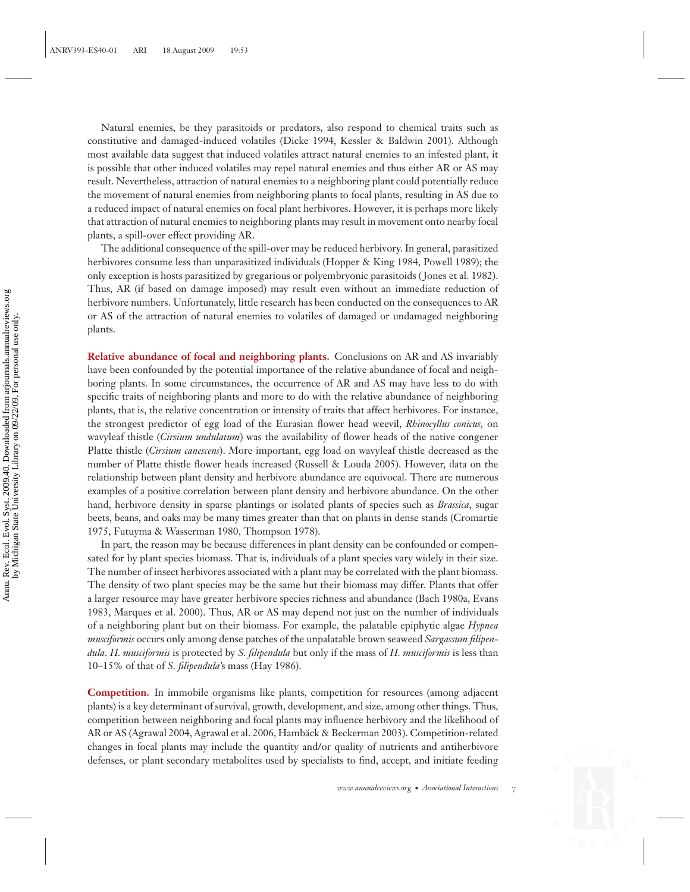Annu. Rev. Ecol. Evol. Syst. 2009.40. Downloaded from arjournals.annualreviews.org<br>by Michigan State University Library on 09/22/09. For personal use only. Annu. Rev. Ecol. Evol. Syst. 2009.40. Downloaded from arjournals.annualreviews.org by Michigan State University Library on 09/22/09. For personal use only.

Natural enemies, be they parasitoids or predators, also respond to chemical traits such as constitutive and damaged-induced volatiles (Dicke 1994, Kessler & Baldwin 2001). Although most available data suggest that induced volatiles attract natural enemies to an infested plant, it is possible that other induced volatiles may repel natural enemies and thus either AR or AS may result. Nevertheless, attraction of natural enemies to a neighboring plant could potentially reduce the movement of natural enemies from neighboring plants to focal plants, resulting in AS due to a reduced impact of natural enemies on focal plant herbivores. However, it is perhaps more likely that attraction of natural enemies to neighboring plants may result in movement onto nearby focal plants, a spill-over effect providing AR.

The additional consequence of the spill-over may be reduced herbivory. In general, parasitized herbivores consume less than unparasitized individuals (Hopper & King 1984, Powell 1989); the only exception is hosts parasitized by gregarious or polyembryonic parasitoids ( Jones et al. 1982). Thus, AR (if based on damage imposed) may result even without an immediate reduction of herbivore numbers. Unfortunately, little research has been conducted on the consequences to AR or AS of the attraction of natural enemies to volatiles of damaged or undamaged neighboring plants.

**Relative abundance of focal and neighboring plants.** Conclusions on AR and AS invariably have been confounded by the potential importance of the relative abundance of focal and neighboring plants. In some circumstances, the occurrence of AR and AS may have less to do with specific traits of neighboring plants and more to do with the relative abundance of neighboring plants, that is, the relative concentration or intensity of traits that affect herbivores. For instance, the strongest predictor of egg load of the Eurasian flower head weevil, *Rhinocyllus conicus,* on wavyleaf thistle (*Cirsium undulatum*) was the availability of flower heads of the native congener Platte thistle (*Cirsium canescens*). More important, egg load on wavyleaf thistle decreased as the number of Platte thistle flower heads increased (Russell & Louda 2005). However, data on the relationship between plant density and herbivore abundance are equivocal. There are numerous examples of a positive correlation between plant density and herbivore abundance. On the other hand, herbivore density in sparse plantings or isolated plants of species such as *Brassica*, sugar beets, beans, and oaks may be many times greater than that on plants in dense stands (Cromartie 1975, Futuyma & Wasserman 1980, Thompson 1978).

In part, the reason may be because differences in plant density can be confounded or compensated for by plant species biomass. That is, individuals of a plant species vary widely in their size. The number of insect herbivores associated with a plant may be correlated with the plant biomass. The density of two plant species may be the same but their biomass may differ. Plants that offer a larger resource may have greater herbivore species richness and abundance (Bach 1980a, Evans 1983, Marques et al. 2000). Thus, AR or AS may depend not just on the number of individuals of a neighboring plant but on their biomass. For example, the palatable epiphytic algae *Hypnea musciformis* occurs only among dense patches of the unpalatable brown seaweed *Sargassum filipendula*. *H. musciformis* is protected by *S. filipendula* but only if the mass of *H. musciformis* is less than 10–15% of that of *S. filipendula*'s mass (Hay 1986).

**Competition.** In immobile organisms like plants, competition for resources (among adjacent plants) is a key determinant of survival, growth, development, and size, among other things. Thus, competition between neighboring and focal plants may influence herbivory and the likelihood of AR or AS (Agrawal 2004, Agrawal et al. 2006, Hambäck & Beckerman 2003). Competition-related changes in focal plants may include the quantity and/or quality of nutrients and antiherbivore defenses, or plant secondary metabolites used by specialists to find, accept, and initiate feeding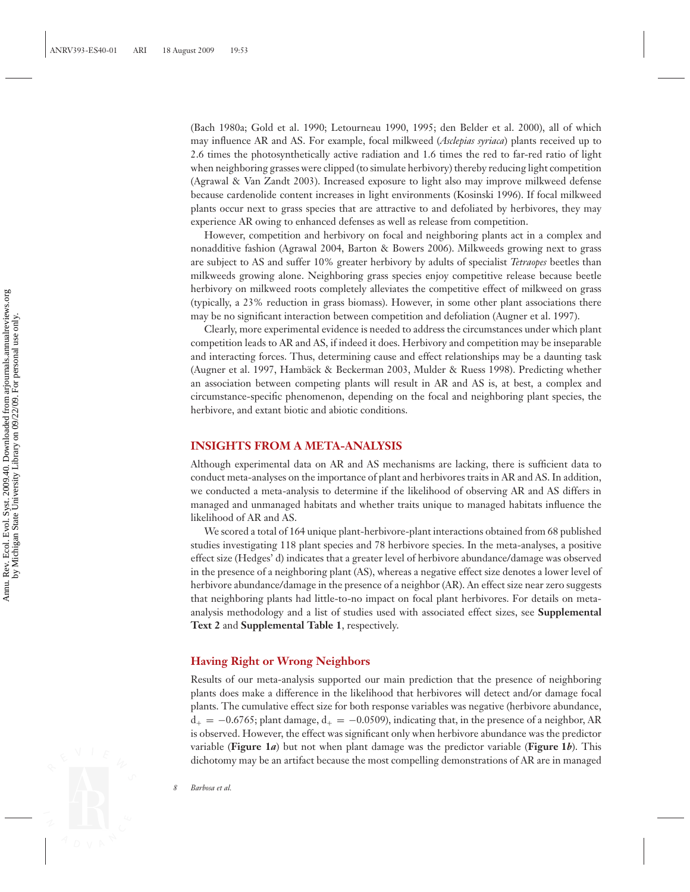(Bach 1980a; Gold et al. 1990; Letourneau 1990, 1995; den Belder et al. 2000), all of which may influence AR and AS. For example, focal milkweed (*Asclepias syriaca*) plants received up to 2.6 times the photosynthetically active radiation and 1.6 times the red to far-red ratio of light when neighboring grasses were clipped (to simulate herbivory) thereby reducing light competition (Agrawal & Van Zandt 2003). Increased exposure to light also may improve milkweed defense because cardenolide content increases in light environments (Kosinski 1996). If focal milkweed plants occur next to grass species that are attractive to and defoliated by herbivores, they may experience AR owing to enhanced defenses as well as release from competition.

However, competition and herbivory on focal and neighboring plants act in a complex and nonadditive fashion (Agrawal 2004, Barton & Bowers 2006). Milkweeds growing next to grass are subject to AS and suffer 10% greater herbivory by adults of specialist *Tetraopes* beetles than milkweeds growing alone. Neighboring grass species enjoy competitive release because beetle herbivory on milkweed roots completely alleviates the competitive effect of milkweed on grass (typically, a 23% reduction in grass biomass). However, in some other plant associations there may be no significant interaction between competition and defoliation (Augner et al. 1997).

Clearly, more experimental evidence is needed to address the circumstances under which plant competition leads to AR and AS, if indeed it does. Herbivory and competition may be inseparable and interacting forces. Thus, determining cause and effect relationships may be a daunting task (Augner et al. 1997, Hambäck & Beckerman 2003, Mulder & Ruess 1998). Predicting whether an association between competing plants will result in AR and AS is, at best, a complex and circumstance-specific phenomenon, depending on the focal and neighboring plant species, the herbivore, and extant biotic and abiotic conditions.

## **INSIGHTS FROM A META-ANALYSIS**

Although experimental data on AR and AS mechanisms are lacking, there is sufficient data to conduct meta-analyses on the importance of plant and herbivores traits in AR and AS. In addition, we conducted a meta-analysis to determine if the likelihood of observing AR and AS differs in managed and unmanaged habitats and whether traits unique to managed habitats influence the likelihood of AR and AS.

We scored a total of 164 unique plant-herbivore-plant interactions obtained from 68 published studies investigating 118 plant species and 78 herbivore species. In the meta-analyses, a positive effect size (Hedges' d) indicates that a greater level of herbivore abundance/damage was observed in the presence of a neighboring plant (AS), whereas a negative effect size denotes a lower level of herbivore abundance/damage in the presence of a neighbor (AR). An effect size near zero suggests that neighboring plants had little-to-no impact on focal plant herbivores. For details on metaanalysis methodology and a list of studies used with associated effect sizes, see **Supplemental Text 2** and **Supplemental Table 1**, respectively.

#### **Having Right or Wrong Neighbors**

Results of our meta-analysis supported our main prediction that the presence of neighboring plants does make a difference in the likelihood that herbivores will detect and/or damage focal plants. The cumulative effect size for both response variables was negative (herbivore abundance,  $d_{+} = -0.6765$ ; plant damage,  $d_{+} = -0.0509$ ), indicating that, in the presence of a neighbor, AR is observed. However, the effect was significant only when herbivore abundance was the predictor variable (**Figure 1***a*) but not when plant damage was the predictor variable (**Figure 1***b*). This dichotomy may be an artifact because the most compelling demonstrations of AR are in managed

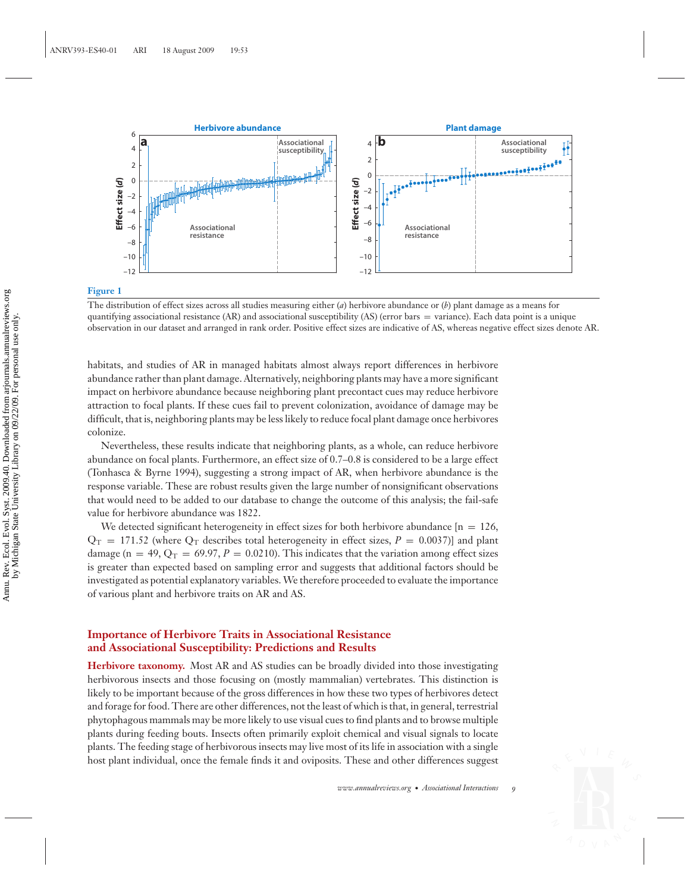

#### **Figure 1**

The distribution of effect sizes across all studies measuring either (*a*) herbivore abundance or (*b*) plant damage as a means for quantifying associational resistance (AR) and associational susceptibility (AS) (error bars = variance). Each data point is a unique observation in our dataset and arranged in rank order. Positive effect sizes are indicative of AS, whereas negative effect sizes denote AR.

habitats, and studies of AR in managed habitats almost always report differences in herbivore abundance rather than plant damage. Alternatively, neighboring plants may have a more significant impact on herbivore abundance because neighboring plant precontact cues may reduce herbivore attraction to focal plants. If these cues fail to prevent colonization, avoidance of damage may be difficult, that is, neighboring plants may be less likely to reduce focal plant damage once herbivores colonize.

Nevertheless, these results indicate that neighboring plants, as a whole, can reduce herbivore abundance on focal plants. Furthermore, an effect size of 0.7–0.8 is considered to be a large effect (Tonhasca & Byrne 1994), suggesting a strong impact of AR, when herbivore abundance is the response variable. These are robust results given the large number of nonsignificant observations that would need to be added to our database to change the outcome of this analysis; the fail-safe value for herbivore abundance was 1822.

We detected significant heterogeneity in effect sizes for both herbivore abundance  $[n = 126,$  $Q_T = 171.52$  (where  $Q_T$  describes total heterogeneity in effect sizes,  $P = 0.0037$ )] and plant damage ( $n = 49$ ,  $Q_T = 69.97$ ,  $P = 0.0210$ ). This indicates that the variation among effect sizes is greater than expected based on sampling error and suggests that additional factors should be investigated as potential explanatory variables. We therefore proceeded to evaluate the importance of various plant and herbivore traits on AR and AS.

## **Importance of Herbivore Traits in Associational Resistance and Associational Susceptibility: Predictions and Results**

**Herbivore taxonomy.** Most AR and AS studies can be broadly divided into those investigating herbivorous insects and those focusing on (mostly mammalian) vertebrates. This distinction is likely to be important because of the gross differences in how these two types of herbivores detect and forage for food. There are other differences, not the least of which is that, in general, terrestrial phytophagous mammals may be more likely to use visual cues to find plants and to browse multiple plants during feeding bouts. Insects often primarily exploit chemical and visual signals to locate plants. The feeding stage of herbivorous insects may live most of its life in association with a single host plant individual, once the female finds it and oviposits. These and other differences suggest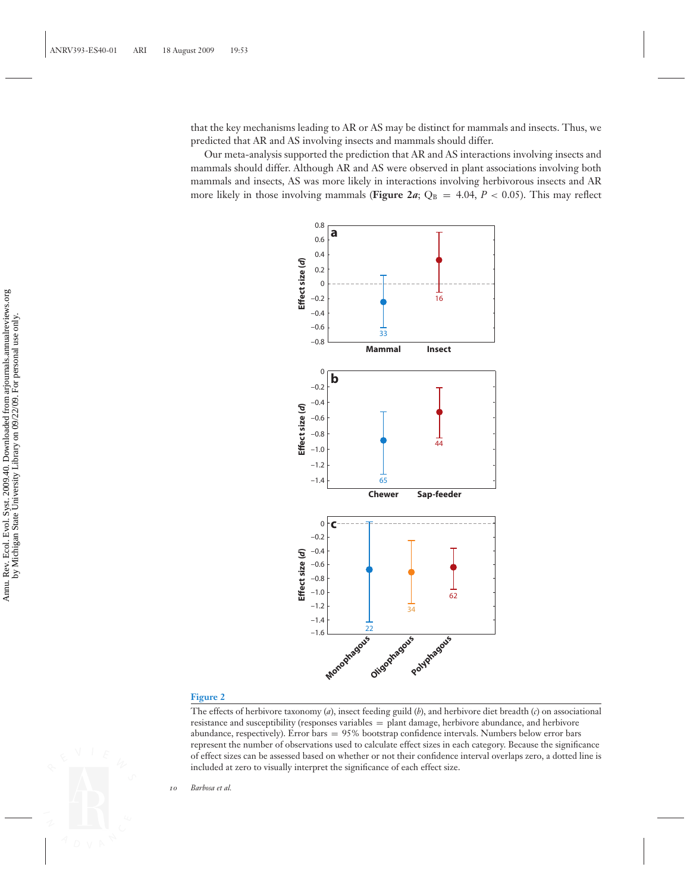that the key mechanisms leading to AR or AS may be distinct for mammals and insects. Thus, we predicted that AR and AS involving insects and mammals should differ.

Our meta-analysis supported the prediction that AR and AS interactions involving insects and mammals should differ. Although AR and AS were observed in plant associations involving both mammals and insects, AS was more likely in interactions involving herbivorous insects and AR more likely in those involving mammals (Figure 2*a*;  $Q_B$  = 4.04,  $P$  < 0.05). This may reflect



#### **Figure 2**

The effects of herbivore taxonomy (*a*), insect feeding guild (*b*), and herbivore diet breadth (*c*) on associational resistance and susceptibility (responses variables = plant damage, herbivore abundance, and herbivore abundance, respectively). Error bars = 95% bootstrap confidence intervals. Numbers below error bars represent the number of observations used to calculate effect sizes in each category. Because the significance of effect sizes can be assessed based on whether or not their confidence interval overlaps zero, a dotted line is included at zero to visually interpret the significance of each effect size.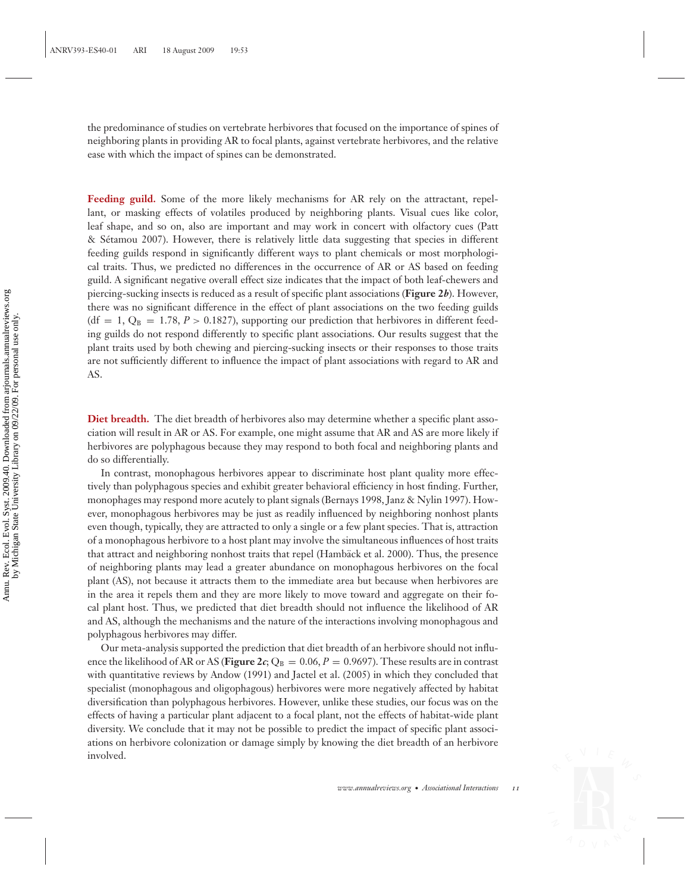the predominance of studies on vertebrate herbivores that focused on the importance of spines of neighboring plants in providing AR to focal plants, against vertebrate herbivores, and the relative ease with which the impact of spines can be demonstrated.

**Feeding guild.** Some of the more likely mechanisms for AR rely on the attractant, repellant, or masking effects of volatiles produced by neighboring plants. Visual cues like color, leaf shape, and so on, also are important and may work in concert with olfactory cues (Patt & Setamou 2007). However, there is relatively little data suggesting that species in different ´ feeding guilds respond in significantly different ways to plant chemicals or most morphological traits. Thus, we predicted no differences in the occurrence of AR or AS based on feeding guild. A significant negative overall effect size indicates that the impact of both leaf-chewers and piercing-sucking insects is reduced as a result of specific plant associations (**Figure 2***b*). However, there was no significant difference in the effect of plant associations on the two feeding guilds (df = 1,  $Q_B$  = 1.78, *P* > 0.1827), supporting our prediction that herbivores in different feeding guilds do not respond differently to specific plant associations. Our results suggest that the plant traits used by both chewing and piercing-sucking insects or their responses to those traits are not sufficiently different to influence the impact of plant associations with regard to AR and AS.

**Diet breadth.** The diet breadth of herbivores also may determine whether a specific plant association will result in AR or AS. For example, one might assume that AR and AS are more likely if herbivores are polyphagous because they may respond to both focal and neighboring plants and do so differentially.

In contrast, monophagous herbivores appear to discriminate host plant quality more effectively than polyphagous species and exhibit greater behavioral efficiency in host finding. Further, monophages may respond more acutely to plant signals (Bernays 1998, Janz & Nylin 1997). However, monophagous herbivores may be just as readily influenced by neighboring nonhost plants even though, typically, they are attracted to only a single or a few plant species. That is, attraction of a monophagous herbivore to a host plant may involve the simultaneous influences of host traits that attract and neighboring nonhost traits that repel (Hamback et al. 2000). Thus, the presence of neighboring plants may lead a greater abundance on monophagous herbivores on the focal plant (AS), not because it attracts them to the immediate area but because when herbivores are in the area it repels them and they are more likely to move toward and aggregate on their focal plant host. Thus, we predicted that diet breadth should not influence the likelihood of AR and AS, although the mechanisms and the nature of the interactions involving monophagous and polyphagous herbivores may differ.

Our meta-analysis supported the prediction that diet breadth of an herbivore should not influence the likelihood of AR or AS (**Figure 2***c*;  $Q_B = 0.06$ ,  $P = 0.9697$ ). These results are in contrast with quantitative reviews by Andow (1991) and Jactel et al. (2005) in which they concluded that specialist (monophagous and oligophagous) herbivores were more negatively affected by habitat diversification than polyphagous herbivores. However, unlike these studies, our focus was on the effects of having a particular plant adjacent to a focal plant, not the effects of habitat-wide plant diversity. We conclude that it may not be possible to predict the impact of specific plant associations on herbivore colonization or damage simply by knowing the diet breadth of an herbivore involved.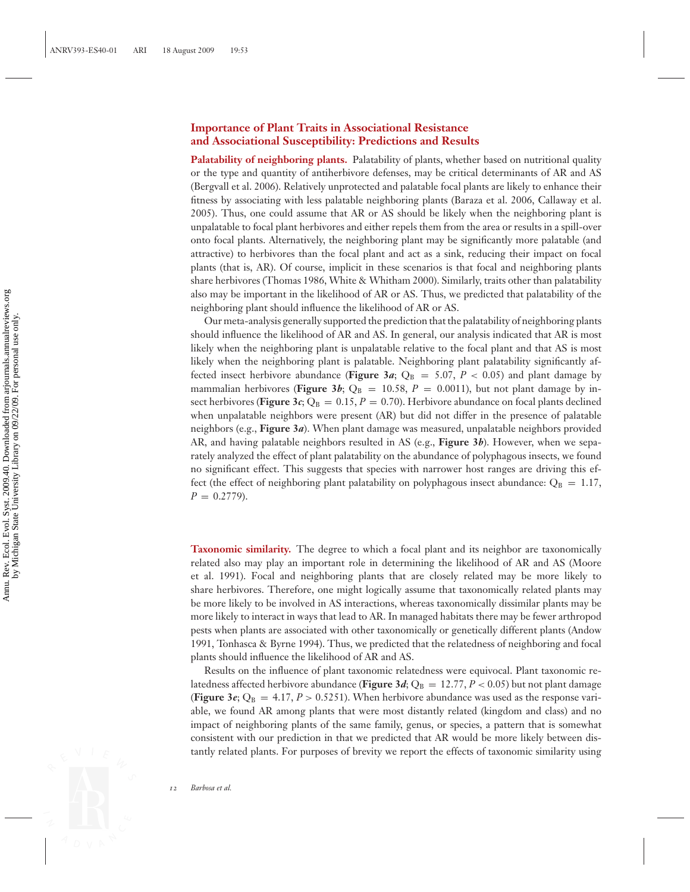## **Importance of Plant Traits in Associational Resistance and Associational Susceptibility: Predictions and Results**

**Palatability of neighboring plants.** Palatability of plants, whether based on nutritional quality or the type and quantity of antiherbivore defenses, may be critical determinants of AR and AS (Bergvall et al. 2006). Relatively unprotected and palatable focal plants are likely to enhance their fitness by associating with less palatable neighboring plants (Baraza et al. 2006, Callaway et al. 2005). Thus, one could assume that AR or AS should be likely when the neighboring plant is unpalatable to focal plant herbivores and either repels them from the area or results in a spill-over onto focal plants. Alternatively, the neighboring plant may be significantly more palatable (and attractive) to herbivores than the focal plant and act as a sink, reducing their impact on focal plants (that is, AR). Of course, implicit in these scenarios is that focal and neighboring plants share herbivores (Thomas 1986, White & Whitham 2000). Similarly, traits other than palatability also may be important in the likelihood of AR or AS. Thus, we predicted that palatability of the neighboring plant should influence the likelihood of AR or AS.

Our meta-analysis generally supported the prediction that the palatability of neighboring plants should influence the likelihood of AR and AS. In general, our analysis indicated that AR is most likely when the neighboring plant is unpalatable relative to the focal plant and that AS is most likely when the neighboring plant is palatable. Neighboring plant palatability significantly affected insect herbivore abundance (**Figure 3***a*;  $Q_B = 5.07$ ,  $P < 0.05$ ) and plant damage by mammalian herbivores (**Figure 3***b*;  $Q_B = 10.58$ ,  $P = 0.0011$ ), but not plant damage by insect herbivores (**Figure 3***c*;  $Q_B = 0.15$ ,  $P = 0.70$ ). Herbivore abundance on focal plants declined when unpalatable neighbors were present (AR) but did not differ in the presence of palatable neighbors (e.g., **Figure 3***a*). When plant damage was measured, unpalatable neighbors provided AR, and having palatable neighbors resulted in AS (e.g., **Figure 3***b*). However, when we separately analyzed the effect of plant palatability on the abundance of polyphagous insects, we found no significant effect. This suggests that species with narrower host ranges are driving this effect (the effect of neighboring plant palatability on polyphagous insect abundance:  $Q_B = 1.17$ ,  $P = 0.2779$ .

**Taxonomic similarity.** The degree to which a focal plant and its neighbor are taxonomically related also may play an important role in determining the likelihood of AR and AS (Moore et al. 1991). Focal and neighboring plants that are closely related may be more likely to share herbivores. Therefore, one might logically assume that taxonomically related plants may be more likely to be involved in AS interactions, whereas taxonomically dissimilar plants may be more likely to interact in ways that lead to AR. In managed habitats there may be fewer arthropod pests when plants are associated with other taxonomically or genetically different plants (Andow 1991, Tonhasca & Byrne 1994). Thus, we predicted that the relatedness of neighboring and focal plants should influence the likelihood of AR and AS.

Results on the influence of plant taxonomic relatedness were equivocal. Plant taxonomic relatedness affected herbivore abundance (**Figure 3***d*;  $Q_B = 12.77$ ,  $P < 0.05$ ) but not plant damage (**Figure 3***e*;  $Q_B = 4.17$ ,  $P > 0.5251$ ). When herbivore abundance was used as the response variable, we found AR among plants that were most distantly related (kingdom and class) and no impact of neighboring plants of the same family, genus, or species, a pattern that is somewhat consistent with our prediction in that we predicted that AR would be more likely between distantly related plants. For purposes of brevity we report the effects of taxonomic similarity using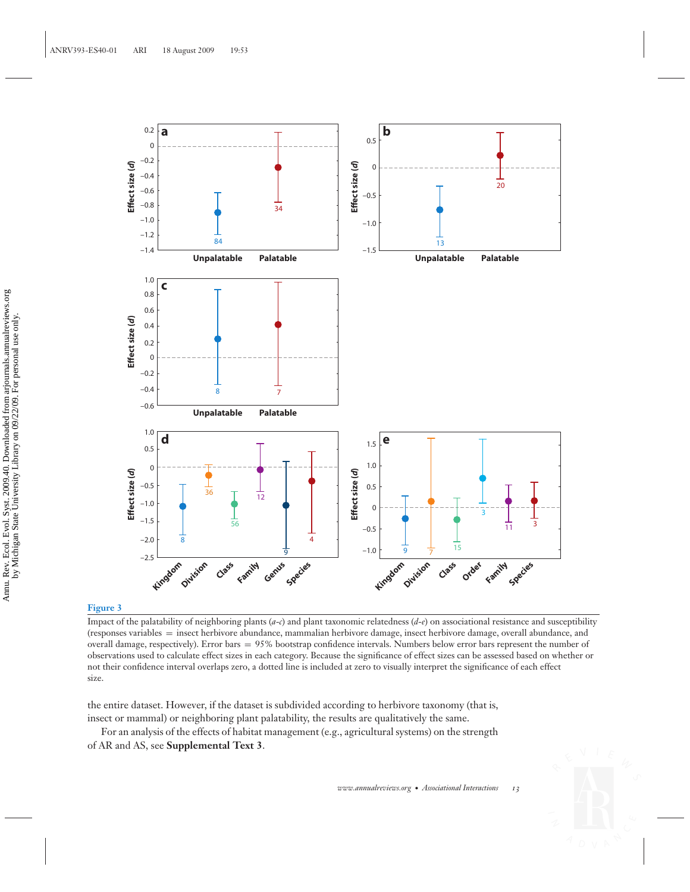

#### **Figure 3**

Impact of the palatability of neighboring plants (*a*-*c*) and plant taxonomic relatedness (*d*-*e*) on associational resistance and susceptibility (responses variables = insect herbivore abundance, mammalian herbivore damage, insect herbivore damage, overall abundance, and overall damage, respectively). Error bars = 95% bootstrap confidence intervals. Numbers below error bars represent the number of observations used to calculate effect sizes in each category. Because the significance of effect sizes can be assessed based on whether or not their confidence interval overlaps zero, a dotted line is included at zero to visually interpret the significance of each effect size.

the entire dataset. However, if the dataset is subdivided according to herbivore taxonomy (that is, insect or mammal) or neighboring plant palatability, the results are qualitatively the same.

For an analysis of the effects of habitat management (e.g., agricultural systems) on the strength of AR and AS, see **Supplemental Text 3**.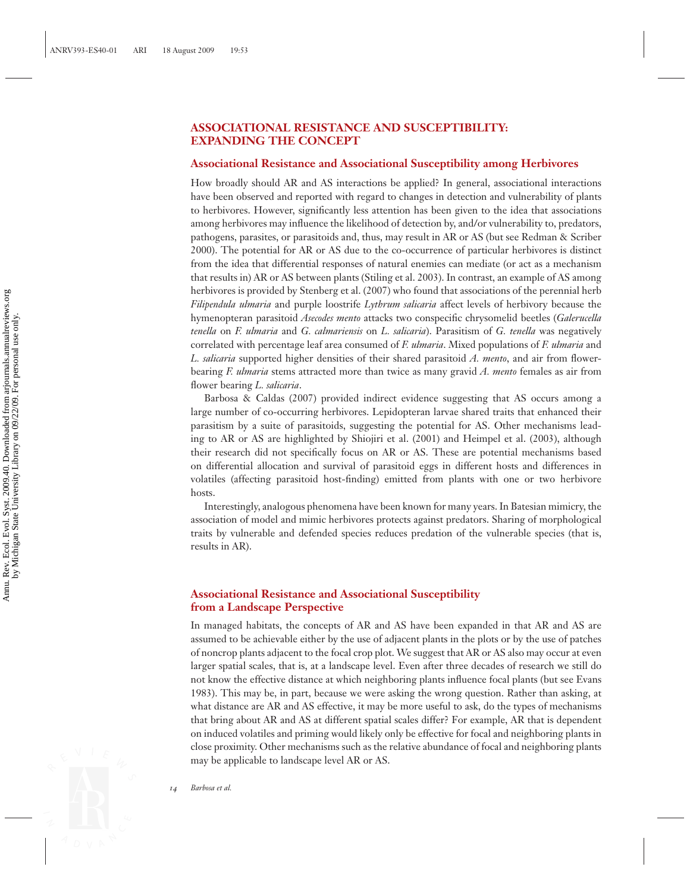## **ASSOCIATIONAL RESISTANCE AND SUSCEPTIBILITY: EXPANDING THE CONCEPT**

## **Associational Resistance and Associational Susceptibility among Herbivores**

How broadly should AR and AS interactions be applied? In general, associational interactions have been observed and reported with regard to changes in detection and vulnerability of plants to herbivores. However, significantly less attention has been given to the idea that associations among herbivores may influence the likelihood of detection by, and/or vulnerability to, predators, pathogens, parasites, or parasitoids and, thus, may result in AR or AS (but see Redman & Scriber 2000). The potential for AR or AS due to the co-occurrence of particular herbivores is distinct from the idea that differential responses of natural enemies can mediate (or act as a mechanism that results in) AR or AS between plants (Stiling et al. 2003). In contrast, an example of AS among herbivores is provided by Stenberg et al. (2007) who found that associations of the perennial herb *Filipendula ulmaria* and purple loostrife *Lythrum salicaria* affect levels of herbivory because the hymenopteran parasitoid *Asecodes mento* attacks two conspecific chrysomelid beetles (*Galerucella tenella* on *F. ulmaria* and *G. calmariensis* on *L. salicaria*). Parasitism of *G. tenella* was negatively correlated with percentage leaf area consumed of *F. ulmaria*. Mixed populations of *F. ulmaria* and *L. salicaria* supported higher densities of their shared parasitoid *A. mento*, and air from flowerbearing *F. ulmaria* stems attracted more than twice as many gravid *A. mento* females as air from flower bearing *L. salicaria*.

Barbosa & Caldas (2007) provided indirect evidence suggesting that AS occurs among a large number of co-occurring herbivores. Lepidopteran larvae shared traits that enhanced their parasitism by a suite of parasitoids, suggesting the potential for AS. Other mechanisms leading to AR or AS are highlighted by Shiojiri et al. (2001) and Heimpel et al. (2003), although their research did not specifically focus on AR or AS. These are potential mechanisms based on differential allocation and survival of parasitoid eggs in different hosts and differences in volatiles (affecting parasitoid host-finding) emitted from plants with one or two herbivore hosts.

Interestingly, analogous phenomena have been known for many years. In Batesian mimicry, the association of model and mimic herbivores protects against predators. Sharing of morphological traits by vulnerable and defended species reduces predation of the vulnerable species (that is, results in AR).

## **Associational Resistance and Associational Susceptibility from a Landscape Perspective**

In managed habitats, the concepts of AR and AS have been expanded in that AR and AS are assumed to be achievable either by the use of adjacent plants in the plots or by the use of patches of noncrop plants adjacent to the focal crop plot. We suggest that AR or AS also may occur at even larger spatial scales, that is, at a landscape level. Even after three decades of research we still do not know the effective distance at which neighboring plants influence focal plants (but see Evans 1983). This may be, in part, because we were asking the wrong question. Rather than asking, at what distance are AR and AS effective, it may be more useful to ask, do the types of mechanisms that bring about AR and AS at different spatial scales differ? For example, AR that is dependent on induced volatiles and priming would likely only be effective for focal and neighboring plants in close proximity. Other mechanisms such as the relative abundance of focal and neighboring plants may be applicable to landscape level AR or AS.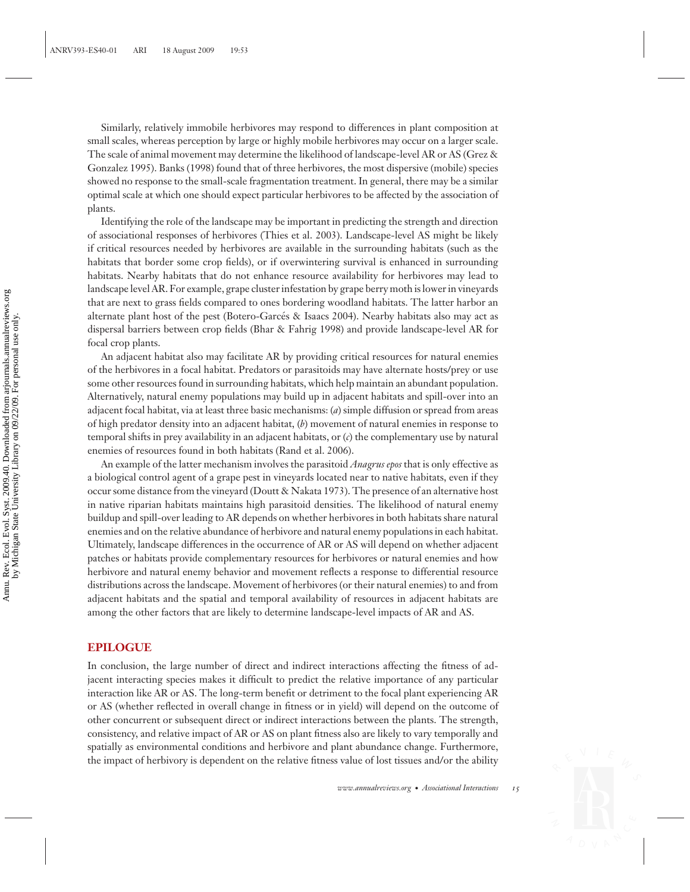Similarly, relatively immobile herbivores may respond to differences in plant composition at small scales, whereas perception by large or highly mobile herbivores may occur on a larger scale. The scale of animal movement may determine the likelihood of landscape-level AR or AS (Grez & Gonzalez 1995). Banks (1998) found that of three herbivores, the most dispersive (mobile) species showed no response to the small-scale fragmentation treatment. In general, there may be a similar optimal scale at which one should expect particular herbivores to be affected by the association of plants.

Identifying the role of the landscape may be important in predicting the strength and direction of associational responses of herbivores (Thies et al. 2003). Landscape-level AS might be likely if critical resources needed by herbivores are available in the surrounding habitats (such as the habitats that border some crop fields), or if overwintering survival is enhanced in surrounding habitats. Nearby habitats that do not enhance resource availability for herbivores may lead to landscape level AR. For example, grape cluster infestation by grape berry moth is lower in vineyards that are next to grass fields compared to ones bordering woodland habitats. The latter harbor an alternate plant host of the pest (Botero-Garcés & Isaacs 2004). Nearby habitats also may act as dispersal barriers between crop fields (Bhar & Fahrig 1998) and provide landscape-level AR for focal crop plants.

An adjacent habitat also may facilitate AR by providing critical resources for natural enemies of the herbivores in a focal habitat. Predators or parasitoids may have alternate hosts/prey or use some other resources found in surrounding habitats, which help maintain an abundant population. Alternatively, natural enemy populations may build up in adjacent habitats and spill-over into an adjacent focal habitat, via at least three basic mechanisms: (*a*) simple diffusion or spread from areas of high predator density into an adjacent habitat, (*b*) movement of natural enemies in response to temporal shifts in prey availability in an adjacent habitats, or (*c*) the complementary use by natural enemies of resources found in both habitats (Rand et al. 2006).

An example of the latter mechanism involves the parasitoid *Anagrus epos* that is only effective as a biological control agent of a grape pest in vineyards located near to native habitats, even if they occur some distance from the vineyard (Doutt & Nakata 1973). The presence of an alternative host in native riparian habitats maintains high parasitoid densities. The likelihood of natural enemy buildup and spill-over leading to AR depends on whether herbivores in both habitats share natural enemies and on the relative abundance of herbivore and natural enemy populations in each habitat. Ultimately, landscape differences in the occurrence of AR or AS will depend on whether adjacent patches or habitats provide complementary resources for herbivores or natural enemies and how herbivore and natural enemy behavior and movement reflects a response to differential resource distributions across the landscape. Movement of herbivores (or their natural enemies) to and from adjacent habitats and the spatial and temporal availability of resources in adjacent habitats are among the other factors that are likely to determine landscape-level impacts of AR and AS.

## **EPILOGUE**

Annu. Rev. Ecol. Evol. Syst. 2009.40. Downloaded from arjournals.annualreviews.org<br>by Michigan State University Library on 09/22/09. For personal use only. Annu. Rev. Ecol. Evol. Syst. 2009.40. Downloaded from arjournals.annualreviews.org by Michigan State University Library on 09/22/09. For personal use only.

> In conclusion, the large number of direct and indirect interactions affecting the fitness of adjacent interacting species makes it difficult to predict the relative importance of any particular interaction like AR or AS. The long-term benefit or detriment to the focal plant experiencing AR or AS (whether reflected in overall change in fitness or in yield) will depend on the outcome of other concurrent or subsequent direct or indirect interactions between the plants. The strength, consistency, and relative impact of AR or AS on plant fitness also are likely to vary temporally and spatially as environmental conditions and herbivore and plant abundance change. Furthermore, the impact of herbivory is dependent on the relative fitness value of lost tissues and/or the ability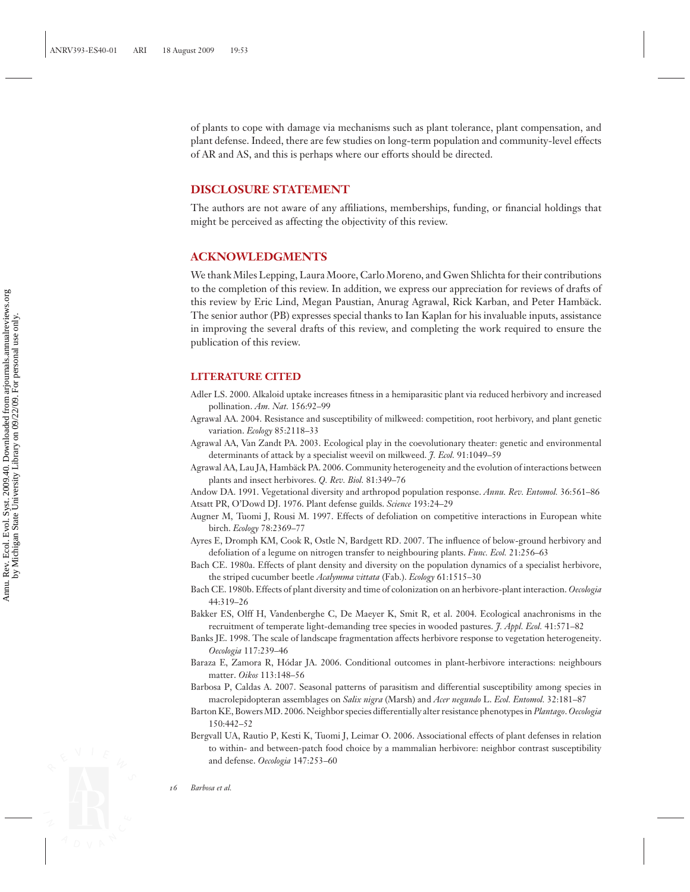of plants to cope with damage via mechanisms such as plant tolerance, plant compensation, and plant defense. Indeed, there are few studies on long-term population and community-level effects of AR and AS, and this is perhaps where our efforts should be directed.

#### **DISCLOSURE STATEMENT**

The authors are not aware of any affiliations, memberships, funding, or financial holdings that might be perceived as affecting the objectivity of this review.

## **ACKNOWLEDGMENTS**

We thank Miles Lepping, Laura Moore, Carlo Moreno, and Gwen Shlichta for their contributions to the completion of this review. In addition, we express our appreciation for reviews of drafts of this review by Eric Lind, Megan Paustian, Anurag Agrawal, Rick Karban, and Peter Hambäck. The senior author (PB) expresses special thanks to Ian Kaplan for his invaluable inputs, assistance in improving the several drafts of this review, and completing the work required to ensure the publication of this review.

#### **LITERATURE CITED**

- Adler LS. 2000. Alkaloid uptake increases fitness in a hemiparasitic plant via reduced herbivory and increased pollination. *Am. Nat.* 156:92–99
- Agrawal AA. 2004. Resistance and susceptibility of milkweed: competition, root herbivory, and plant genetic variation. *Ecology* 85:2118–33
- Agrawal AA, Van Zandt PA. 2003. Ecological play in the coevolutionary theater: genetic and environmental determinants of attack by a specialist weevil on milkweed. *J. Ecol.* 91:1049–59
- Agrawal AA, Lau JA, Hamback PA. 2006. Community heterogeneity and the evolution of interactions between ¨ plants and insect herbivores. *Q. Rev. Biol.* 81:349–76

Andow DA. 1991. Vegetational diversity and arthropod population response. *Annu. Rev. Entomol.* 36:561–86 Atsatt PR, O'Dowd DJ. 1976. Plant defense guilds. *Science* 193:24–29

- Augner M, Tuomi J, Rousi M. 1997. Effects of defoliation on competitive interactions in European white birch. *Ecology* 78:2369–77
- Ayres E, Dromph KM, Cook R, Ostle N, Bardgett RD. 2007. The influence of below-ground herbivory and defoliation of a legume on nitrogen transfer to neighbouring plants. *Func. Ecol.* 21:256–63
- Bach CE. 1980a. Effects of plant density and diversity on the population dynamics of a specialist herbivore, the striped cucumber beetle *Acalymma vittata* (Fab.). *Ecology* 61:1515–30

Bach CE. 1980b. Effects of plant diversity and time of colonization on an herbivore-plant interaction. *Oecologia* 44:319–26

- Bakker ES, Olff H, Vandenberghe C, De Maeyer K, Smit R, et al. 2004. Ecological anachronisms in the recruitment of temperate light-demanding tree species in wooded pastures. *J. Appl. Ecol.* 41:571–82
- Banks JE. 1998. The scale of landscape fragmentation affects herbivore response to vegetation heterogeneity. *Oecologia* 117:239–46
- Baraza E, Zamora R, Hodar JA. 2006. Conditional outcomes in plant-herbivore interactions: neighbours ´ matter. *Oikos* 113:148–56
- Barbosa P, Caldas A. 2007. Seasonal patterns of parasitism and differential susceptibility among species in macrolepidopteran assemblages on *Salix nigra* (Marsh) and *Acer negundo* L. *Ecol. Entomol.* 32:181–87
- Barton KE, Bowers MD. 2006. Neighbor species differentially alter resistance phenotypes in *Plantago*. *Oecologia* 150:442–52
- Bergvall UA, Rautio P, Kesti K, Tuomi J, Leimar O. 2006. Associational effects of plant defenses in relation to within- and between-patch food choice by a mammalian herbivore: neighbor contrast susceptibility and defense. *Oecologia* 147:253–60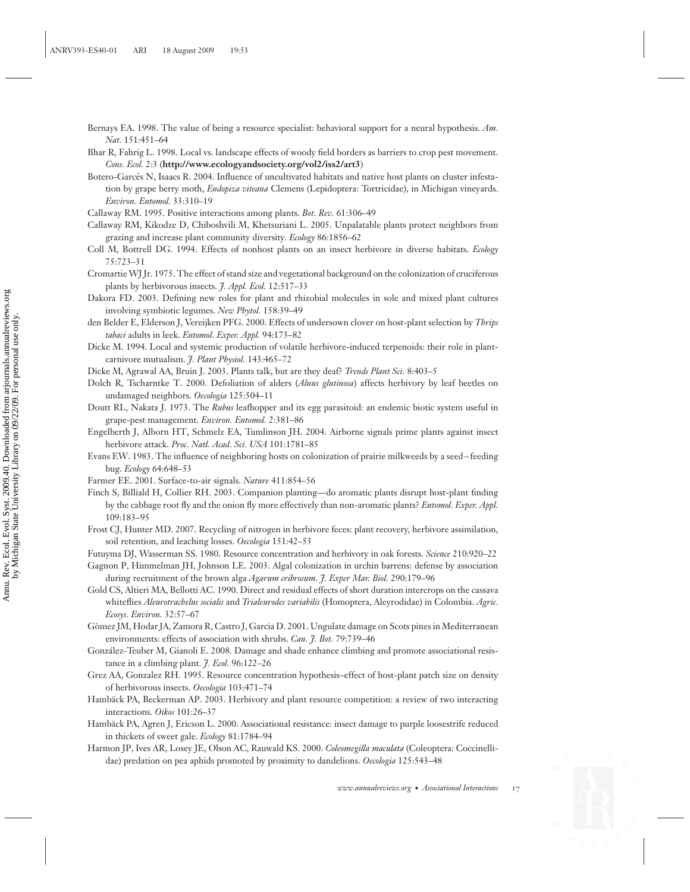- Bernays EA. 1998. The value of being a resource specialist: behavioral support for a neural hypothesis. *Am. Nat.* 151:451–64
- Bhar R, Fahrig L. 1998. Local vs. landscape effects of woody field borders as barriers to crop pest movement. *Cons. Ecol.* 2:3 (**http://www.ecologyandsociety.org/vol2/iss2/art3**)
- Botero-Garcés N, Isaacs R. 2004. Influence of uncultivated habitats and native host plants on cluster infestation by grape berry moth, *Endopiza viteana* Clemens (Lepidoptera: Tortricidae), in Michigan vineyards. *Environ. Entomol.* 33:310–19
- Callaway RM. 1995. Positive interactions among plants. *Bot. Rev.* 61:306–49
- Callaway RM, Kikodze D, Chiboshvili M, Khetsuriani L. 2005. Unpalatable plants protect neighbors from grazing and increase plant community diversity. *Ecology* 86:1856–62
- Coll M, Bottrell DG. 1994. Effects of nonhost plants on an insect herbivore in diverse habitats. *Ecology* 75:723–31
- Cromartie WJ Jr. 1975. The effect of stand size and vegetational background on the colonization of cruciferous plants by herbivorous insects. *J. Appl. Ecol.* 12:517–33
- Dakora FD. 2003. Defining new roles for plant and rhizobial molecules in sole and mixed plant cultures involving symbiotic legumes. *New Phytol.* 158:39–49
- den Belder E, Elderson J, Vereijken PFG. 2000. Effects of undersown clover on host-plant selection by *Thrips tabaci* adults in leek. *Entomol. Exper. Appl.* 94:173–82
- Dicke M. 1994. Local and systemic production of volatile herbivore-induced terpenoids: their role in plantcarnivore mutualism. *J. Plant Physiol.* 143:465–72
- Dicke M, Agrawal AA, Bruin J. 2003. Plants talk, but are they deaf? *Trends Plant Sci.* 8:403–5
- Dolch R, Tscharntke T. 2000. Defoliation of alders (*Alnus glutinosa*) affects herbivory by leaf beetles on undamaged neighbors. *Oecologia* 125:504–11
- Doutt RL, Nakata J. 1973. The *Rubus* leafhopper and its egg parasitoid: an endemic biotic system useful in grape-pest management. *Environ. Entomol.* 2:381–86
- Engelberth J, Alborn HT, Schmelz EA, Tumlinson JH. 2004. Airborne signals prime plants against insect herbivore attack. *Proc. Natl. Acad. Sci. USA* 101:1781–85
- Evans EW. 1983. The influence of neighboring hosts on colonization of prairie milkweeds by a seed−feeding bug. *Ecology* 64:648–53
- Farmer EE. 2001. Surface-to-air signals. *Nature* 411:854–56
- Finch S, Billiald H, Collier RH. 2003. Companion planting—do aromatic plants disrupt host-plant finding by the cabbage root fly and the onion fly more effectively than non-aromatic plants? *Entomol. Exper. Appl.* 109:183–95
- Frost CJ, Hunter MD. 2007. Recycling of nitrogen in herbivore feces: plant recovery, herbivore assimilation, soil retention, and leaching losses. *Oecologia* 151:42–53
- Futuyma DJ, Wasserman SS. 1980. Resource concentration and herbivory in oak forests. *Science* 210:920–22
- Gagnon P, Himmelman JH, Johnson LE. 2003. Algal colonization in urchin barrens: defense by association during recruitment of the brown alga *Agarum cribrosum*. *J. Exper Mar. Biol.* 290:179–96
- Gold CS, Altieri MA, Bellotti AC. 1990. Direct and residual effects of short duration intercrops on the cassava whiteflies *Aleurotrachelus socialis* and *Trialeurodes variabilis* (Homoptera, Aleyrodidae) in Colombia. *Agric. Ecosys. Environ.* 32:57–67
- Gomez JM, Hodar JA, Zamora R, Castro J, Garcia D. 2001. Ungulate damage on Scots pines in Mediterranean ` environments: effects of association with shrubs. *Can. J. Bot.* 79:739–46
- Gonzalez-Teuber M, Gianoli E. 2008. Damage and shade enhance climbing and promote associational resis- ´ tance in a climbing plant. *J. Ecol.* 96:122–26
- Grez AA, Gonzalez RH. 1995. Resource concentration hypothesis–effect of host-plant patch size on density of herbivorous insects. *Oecologia* 103:471–74
- Hamback PA, Beckerman AP. 2003. Herbivory and plant resource competition: a review of two interacting interactions. *Oikos* 101:26–37
- Hambäck PA, Agren J, Ericson L. 2000. Associational resistance: insect damage to purple loosestrife reduced in thickets of sweet gale. *Ecology* 81:1784–94
- Harmon JP, Ives AR, Losey JE, Olson AC, Rauwald KS. 2000. *Coleomegilla maculata* (Coleoptera: Coccinellidae) predation on pea aphids promoted by proximity to dandelions. *Oecologia* 125:543–48

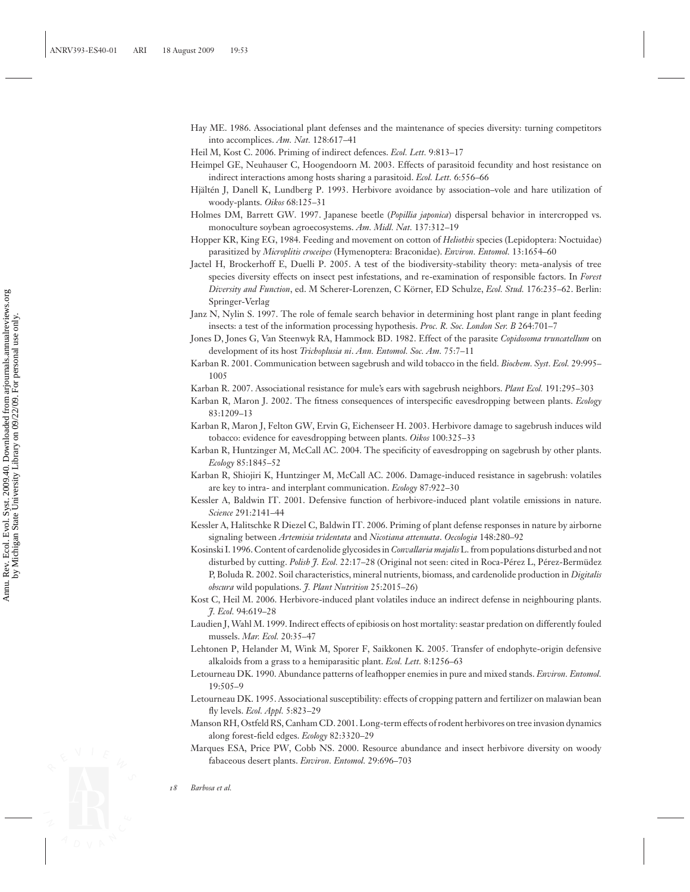Hay ME. 1986. Associational plant defenses and the maintenance of species diversity: turning competitors into accomplices. *Am. Nat.* 128:617–41

Heil M, Kost C. 2006. Priming of indirect defences. *Ecol. Lett.* 9:813–17

- Heimpel GE, Neuhauser C, Hoogendoorn M. 2003. Effects of parasitoid fecundity and host resistance on indirect interactions among hosts sharing a parasitoid. *Ecol. Lett.* 6:556–66
- Hjältén J, Danell K, Lundberg P. 1993. Herbivore avoidance by association-vole and hare utilization of woody-plants. *Oikos* 68:125–31
- Holmes DM, Barrett GW. 1997. Japanese beetle (*Popillia japonica*) dispersal behavior in intercropped vs. monoculture soybean agroecosystems. *Am. Midl. Nat.* 137:312–19
- Hopper KR, King EG, 1984. Feeding and movement on cotton of *Heliothis* species (Lepidoptera: Noctuidae) parasitized by *Microplitis croceipes* (Hymenoptera: Braconidae). *Environ. Entomol.* 13:1654–60
- Jactel H, Brockerhoff E, Duelli P. 2005. A test of the biodiversity-stability theory: meta-analysis of tree species diversity effects on insect pest infestations, and re-examination of responsible factors. In *Forest Diversity and Function*, ed. M Scherer-Lorenzen, C Korner, ED Schulze, ¨ *Ecol. Stud.* 176:235–62. Berlin: Springer-Verlag
- Janz N, Nylin S. 1997. The role of female search behavior in determining host plant range in plant feeding insects: a test of the information processing hypothesis. *Proc. R. Soc. London Ser. B* 264:701–7
- Jones D, Jones G, Van Steenwyk RA, Hammock BD. 1982. Effect of the parasite *Copidosoma truncatellum* on development of its host *Trichoplusia ni*. *Ann. Entomol. Soc. Am.* 75:7–11
- Karban R. 2001. Communication between sagebrush and wild tobacco in the field. *Biochem. Syst. Ecol.* 29:995– 1005
- Karban R. 2007. Associational resistance for mule's ears with sagebrush neighbors. *Plant Ecol.* 191:295–303
- Karban R, Maron J. 2002. The fitness consequences of interspecific eavesdropping between plants. *Ecology* 83:1209–13
- Karban R, Maron J, Felton GW, Ervin G, Eichenseer H. 2003. Herbivore damage to sagebrush induces wild tobacco: evidence for eavesdropping between plants. *Oikos* 100:325–33
- Karban R, Huntzinger M, McCall AC. 2004. The specificity of eavesdropping on sagebrush by other plants. *Ecology* 85:1845–52
- Karban R, Shiojiri K, Huntzinger M, McCall AC. 2006. Damage-induced resistance in sagebrush: volatiles are key to intra- and interplant communication. *Ecology* 87:922–30
- Kessler A, Baldwin IT. 2001. Defensive function of herbivore-induced plant volatile emissions in nature. *Science* 291:2141–44
- Kessler A, Halitschke R Diezel C, Baldwin IT. 2006. Priming of plant defense responses in nature by airborne signaling between *Artemisia tridentata* and *Nicotiana attenuata*. *Oecologia* 148:280–92
- Kosinski I. 1996. Content of cardenolide glycosides in*Convallaria majalis*L. from populations disturbed and not disturbed by cutting. *Polish J. Ecol.* 22:17-28 (Original not seen: cited in Roca-Pérez L, Pérez-Bermüdez P, Boluda R. 2002. Soil characteristics, mineral nutrients, biomass, and cardenolide production in *Digitalis obscura* wild populations. *J. Plant Nutrition* 25:2015–26)
- Kost C, Heil M. 2006. Herbivore-induced plant volatiles induce an indirect defense in neighbouring plants. *J. Ecol.* 94:619–28
- Laudien J, Wahl M. 1999. Indirect effects of epibiosis on host mortality: seastar predation on differently fouled mussels. *Mar. Ecol.* 20:35–47
- Lehtonen P, Helander M, Wink M, Sporer F, Saikkonen K. 2005. Transfer of endophyte-origin defensive alkaloids from a grass to a hemiparasitic plant. *Ecol. Lett.* 8:1256–63
- Letourneau DK. 1990. Abundance patterns of leafhopper enemies in pure and mixed stands. *Environ. Entomol.* 19:505–9
- Letourneau DK. 1995. Associational susceptibility: effects of cropping pattern and fertilizer on malawian bean fly levels. *Ecol. Appl.* 5:823–29
- Manson RH, Ostfeld RS, Canham CD. 2001. Long-term effects of rodent herbivores on tree invasion dynamics along forest-field edges. *Ecology* 82:3320–29
- Marques ESA, Price PW, Cobb NS. 2000. Resource abundance and insect herbivore diversity on woody fabaceous desert plants. *Environ. Entomol.* 29:696–703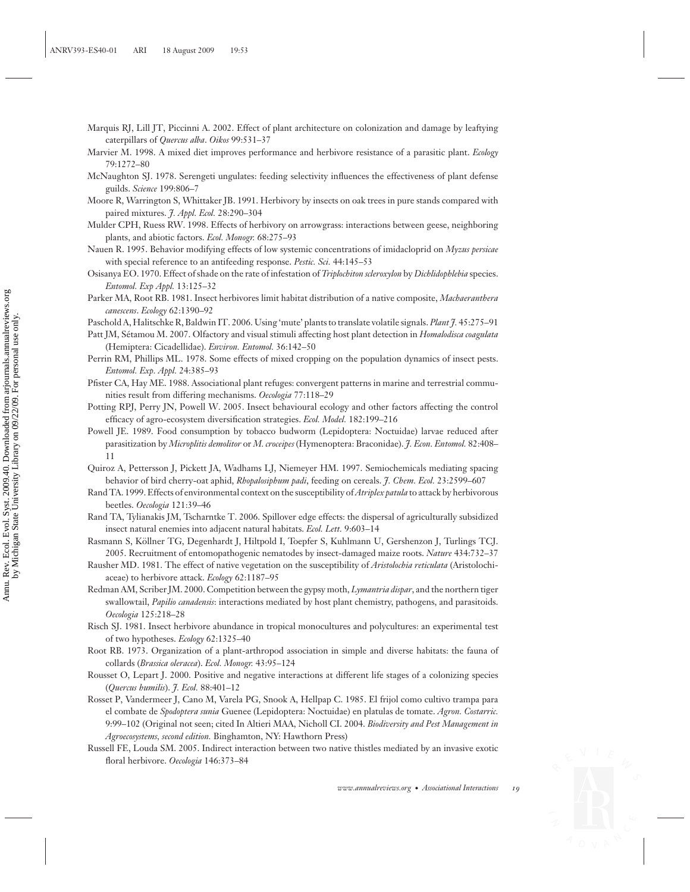- Marquis RJ, Lill JT, Piccinni A. 2002. Effect of plant architecture on colonization and damage by leaftying caterpillars of *Quercus alba*. *Oikos* 99:531–37
- Marvier M. 1998. A mixed diet improves performance and herbivore resistance of a parasitic plant. *Ecology* 79:1272–80
- McNaughton SJ. 1978. Serengeti ungulates: feeding selectivity influences the effectiveness of plant defense guilds. *Science* 199:806–7
- Moore R, Warrington S, Whittaker JB. 1991. Herbivory by insects on oak trees in pure stands compared with paired mixtures. *J. Appl. Ecol.* 28:290–304
- Mulder CPH, Ruess RW. 1998. Effects of herbivory on arrowgrass: interactions between geese, neighboring plants, and abiotic factors. *Ecol. Monogr.* 68:275–93
- Nauen R. 1995. Behavior modifying effects of low systemic concentrations of imidacloprid on *Myzus persicae* with special reference to an antifeeding response. *Pestic. Sci.* 44:145–53
- Osisanya EO. 1970. Effect of shade on the rate of infestation of *Triplochiton scleroxylon* by *Dichlidophlebia* species. *Entomol. Exp Appl.* 13:125–32
- Parker MA, Root RB. 1981. Insect herbivores limit habitat distribution of a native composite, *Machaeranthera canescens*. *Ecology* 62:1390–92
- Paschold A, Halitschke R, Baldwin IT. 2006. Using 'mute' plants to translate volatile signals. *Plant J.* 45:275–91
- Patt JM, Sétamou M. 2007. Olfactory and visual stimuli affecting host plant detection in *Homalodisca coagulata* (Hemiptera: Cicadellidae). *Environ. Entomol.* 36:142–50
- Perrin RM, Phillips ML. 1978. Some effects of mixed cropping on the population dynamics of insect pests. *Entomol. Exp. Appl.* 24:385–93
- Pfister CA, Hay ME. 1988. Associational plant refuges: convergent patterns in marine and terrestrial communities result from differing mechanisms. *Oecologia* 77:118–29
- Potting RPJ, Perry JN, Powell W. 2005. Insect behavioural ecology and other factors affecting the control efficacy of agro-ecosystem diversification strategies. *Ecol. Model.* 182:199–216
- Powell JE. 1989. Food consumption by tobacco budworm (Lepidoptera: Noctuidae) larvae reduced after parasitization by *Microplitis demolitor* or *M. croceipes* (Hymenoptera: Braconidae). *J. Econ. Entomol.* 82:408– 11
- Quiroz A, Pettersson J, Pickett JA, Wadhams LJ, Niemeyer HM. 1997. Semiochemicals mediating spacing behavior of bird cherry-oat aphid, *Rhopalosiphum padi*, feeding on cereals. *J. Chem. Ecol.* 23:2599–607
- Rand TA. 1999. Effects of environmental context on the susceptibility of*Atriplex patula* to attack by herbivorous beetles. *Oecologia* 121:39–46
- Rand TA, Tylianakis JM, Tscharntke T. 2006. Spillover edge effects: the dispersal of agriculturally subsidized insect natural enemies into adjacent natural habitats. *Ecol. Lett.* 9:603–14
- Rasmann S, Kollner TG, Degenhardt J, Hiltpold I, Toepfer S, Kuhlmann U, Gershenzon J, Turlings TCJ. ¨ 2005. Recruitment of entomopathogenic nematodes by insect-damaged maize roots. *Nature* 434:732–37
- Rausher MD. 1981. The effect of native vegetation on the susceptibility of *Aristolochia reticulata* (Aristolochiaceae) to herbivore attack. *Ecology* 62:1187–95
- Redman AM, Scriber JM. 2000. Competition between the gypsy moth, *Lymantria dispar*, and the northern tiger swallowtail, *Papilio canadensis*: interactions mediated by host plant chemistry, pathogens, and parasitoids. *Oecologia* 125:218–28
- Risch SJ. 1981. Insect herbivore abundance in tropical monocultures and polycultures: an experimental test of two hypotheses. *Ecology* 62:1325–40
- Root RB. 1973. Organization of a plant-arthropod association in simple and diverse habitats: the fauna of collards (*Brassica oleracea*). *Ecol. Monogr.* 43:95–124
- Rousset O, Lepart J. 2000. Positive and negative interactions at different life stages of a colonizing species (*Quercus humilis*). *J. Ecol.* 88:401–12
- Rosset P, Vandermeer J, Cano M, Varela PG, Snook A, Hellpap C. 1985. El frijol como cultivo trampa para el combate de *Spodoptera sunia* Guenee (Lepidoptera: Noctuidae) en platulas de tomate. *Agron. Costarric.* 9:99–102 (Original not seen; cited In Altieri MAA, Nicholl CI. 2004. *Biodiversity and Pest Management in Agroecosystems, second edition.* Binghamton, NY: Hawthorn Press)
- Russell FE, Louda SM. 2005. Indirect interaction between two native thistles mediated by an invasive exotic floral herbivore. *Oecologia* 146:373–84